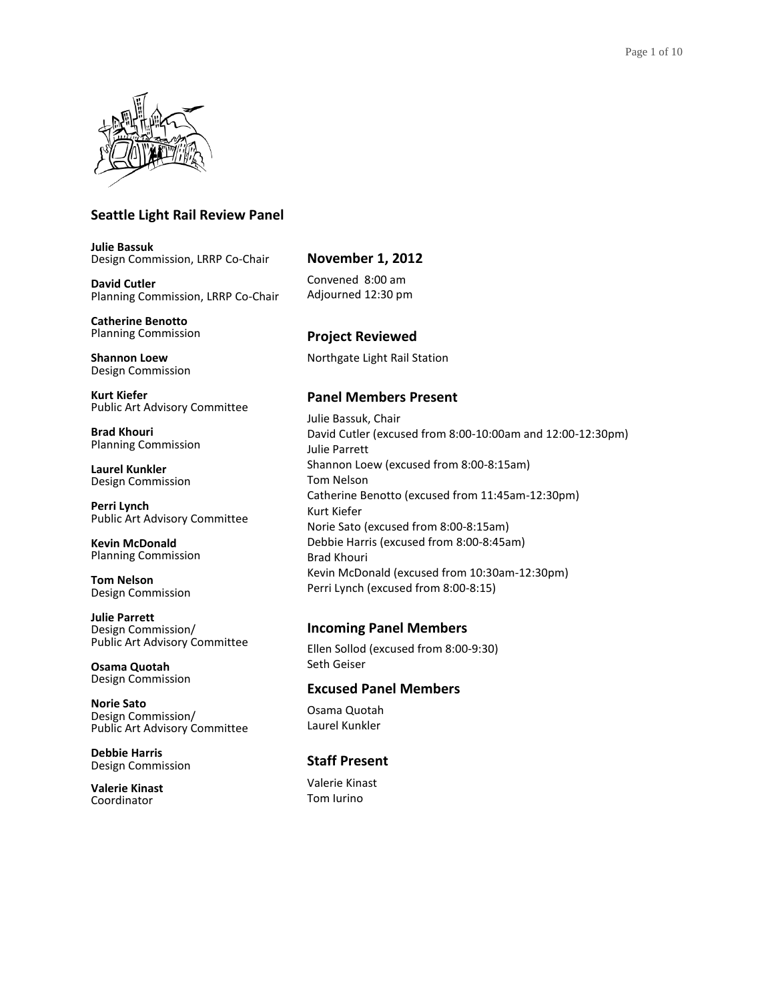

## **Seattle Light Rail Review Panel**

**Julie Bassuk** Design Commission, LRRP Co-Chair

**David Cutler** Planning Commission, LRRP Co-Chair

**Catherine Benotto** Planning Commission

**Shannon Loew** Design Commission

**Kurt Kiefer** Public Art Advisory Committee

**Brad Khouri** Planning Commission

**Laurel Kunkler** Design Commission

**Perri Lynch** Public Art Advisory Committee

**Kevin McDonald** Planning Commission

**Tom Nelson** Design Commission

**Julie Parrett** Design Commission/ Public Art Advisory Committee

**Osama Quotah** Design Commission

**Norie Sato** Design Commission/ Public Art Advisory Committee

**Debbie Harris** Design Commission

**Valerie Kinast** Coordinator

# **November 1, 2012**

Convened 8:00 am Adjourned 12:30 pm

# **Project Reviewed**

Northgate Light Rail Station

## **Panel Members Present**

Julie Bassuk, Chair David Cutler (excused from 8:00-10:00am and 12:00-12:30pm) Julie Parrett Shannon Loew (excused from 8:00-8:15am) Tom Nelson Catherine Benotto (excused from 11:45am-12:30pm) Kurt Kiefer Norie Sato (excused from 8:00-8:15am) Debbie Harris (excused from 8:00-8:45am) Brad Khouri Kevin McDonald (excused from 10:30am-12:30pm) Perri Lynch (excused from 8:00-8:15)

## **Incoming Panel Members**

Ellen Sollod (excused from 8:00-9:30) Seth Geiser

## **Excused Panel Members**

Osama Quotah Laurel Kunkler

# **Staff Present**

Valerie Kinast Tom Iurino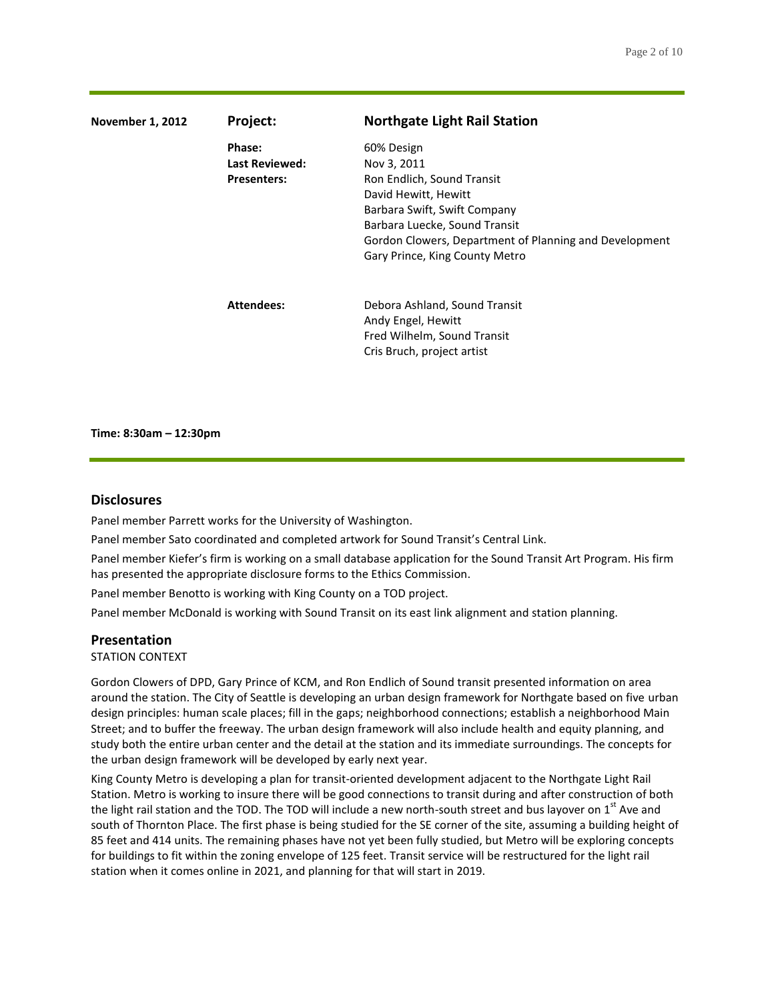| <b>November 1, 2012</b> | Project:                                              | <b>Northgate Light Rail Station</b>                                                                                                                                                                                                          |
|-------------------------|-------------------------------------------------------|----------------------------------------------------------------------------------------------------------------------------------------------------------------------------------------------------------------------------------------------|
|                         | Phase:<br><b>Last Reviewed:</b><br><b>Presenters:</b> | 60% Design<br>Nov 3, 2011<br>Ron Endlich, Sound Transit<br>David Hewitt, Hewitt<br>Barbara Swift, Swift Company<br>Barbara Luecke, Sound Transit<br>Gordon Clowers, Department of Planning and Development<br>Gary Prince, King County Metro |
|                         | <b>Attendees:</b>                                     | Debora Ashland, Sound Transit<br>Andy Engel, Hewitt<br>Fred Wilhelm, Sound Transit<br>Cris Bruch, project artist                                                                                                                             |

**Time: 8:30am – 12:30pm**

### **Disclosures**

Panel member Parrett works for the University of Washington.

Panel member Sato coordinated and completed artwork for Sound Transit's Central Link.

Panel member Kiefer's firm is working on a small database application for the Sound Transit Art Program. His firm has presented the appropriate disclosure forms to the Ethics Commission.

Panel member Benotto is working with King County on a TOD project.

Panel member McDonald is working with Sound Transit on its east link alignment and station planning.

#### **Presentation**

## STATION CONTEXT

Gordon Clowers of DPD, Gary Prince of KCM, and Ron Endlich of Sound transit presented information on area around the station. The City of Seattle is developing an urban design framework for Northgate based on five urban design principles: human scale places; fill in the gaps; neighborhood connections; establish a neighborhood Main Street; and to buffer the freeway. The urban design framework will also include health and equity planning, and study both the entire urban center and the detail at the station and its immediate surroundings. The concepts for the urban design framework will be developed by early next year.

King County Metro is developing a plan for transit-oriented development adjacent to the Northgate Light Rail Station. Metro is working to insure there will be good connections to transit during and after construction of both the light rail station and the TOD. The TOD will include a new north-south street and bus layover on  $1<sup>st</sup>$  Ave and south of Thornton Place. The first phase is being studied for the SE corner of the site, assuming a building height of 85 feet and 414 units. The remaining phases have not yet been fully studied, but Metro will be exploring concepts for buildings to fit within the zoning envelope of 125 feet. Transit service will be restructured for the light rail station when it comes online in 2021, and planning for that will start in 2019.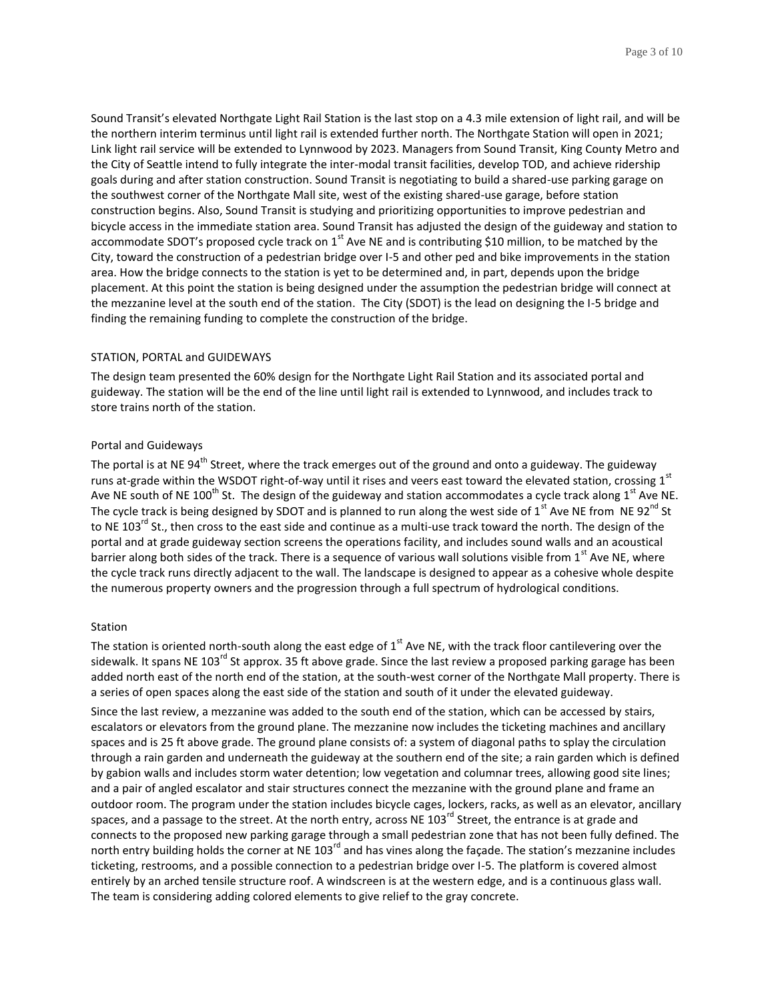Sound Transit's elevated Northgate Light Rail Station is the last stop on a 4.3 mile extension of light rail, and will be the northern interim terminus until light rail is extended further north. The Northgate Station will open in 2021; Link light rail service will be extended to Lynnwood by 2023. Managers from Sound Transit, King County Metro and the City of Seattle intend to fully integrate the inter-modal transit facilities, develop TOD, and achieve ridership goals during and after station construction. Sound Transit is negotiating to build a shared-use parking garage on the southwest corner of the Northgate Mall site, west of the existing shared-use garage, before station construction begins. Also, Sound Transit is studying and prioritizing opportunities to improve pedestrian and bicycle access in the immediate station area. Sound Transit has adjusted the design of the guideway and station to accommodate SDOT's proposed cycle track on  $1<sup>st</sup>$  Ave NE and is contributing \$10 million, to be matched by the City, toward the construction of a pedestrian bridge over I-5 and other ped and bike improvements in the station area. How the bridge connects to the station is yet to be determined and, in part, depends upon the bridge placement. At this point the station is being designed under the assumption the pedestrian bridge will connect at the mezzanine level at the south end of the station. The City (SDOT) is the lead on designing the I-5 bridge and finding the remaining funding to complete the construction of the bridge.

#### STATION, PORTAL and GUIDEWAYS

The design team presented the 60% design for the Northgate Light Rail Station and its associated portal and guideway. The station will be the end of the line until light rail is extended to Lynnwood, and includes track to store trains north of the station.

## Portal and Guideways

The portal is at NE 94<sup>th</sup> Street, where the track emerges out of the ground and onto a guideway. The guideway runs at-grade within the WSDOT right-of-way until it rises and veers east toward the elevated station, crossing 1st Ave NE south of NE 100<sup>th</sup> St. The design of the guideway and station accommodates a cycle track along 1<sup>st</sup> Ave NE. The cycle track is being designed by SDOT and is planned to run along the west side of  $1<sup>st</sup>$  Ave NE from NE 92<sup>nd</sup> St to NE 103<sup>rd</sup> St., then cross to the east side and continue as a multi-use track toward the north. The design of the portal and at grade guideway section screens the operations facility, and includes sound walls and an acoustical barrier along both sides of the track. There is a sequence of various wall solutions visible from  $1<sup>st</sup>$  Ave NE, where the cycle track runs directly adjacent to the wall. The landscape is designed to appear as a cohesive whole despite the numerous property owners and the progression through a full spectrum of hydrological conditions.

## Station

The station is oriented north-south along the east edge of  $1<sup>st</sup>$  Ave NE, with the track floor cantilevering over the sidewalk. It spans NE 103<sup>rd</sup> St approx. 35 ft above grade. Since the last review a proposed parking garage has been added north east of the north end of the station, at the south-west corner of the Northgate Mall property. There is a series of open spaces along the east side of the station and south of it under the elevated guideway. Since the last review, a mezzanine was added to the south end of the station, which can be accessed by stairs, escalators or elevators from the ground plane. The mezzanine now includes the ticketing machines and ancillary spaces and is 25 ft above grade. The ground plane consists of: a system of diagonal paths to splay the circulation through a rain garden and underneath the guideway at the southern end of the site; a rain garden which is defined by gabion walls and includes storm water detention; low vegetation and columnar trees, allowing good site lines; and a pair of angled escalator and stair structures connect the mezzanine with the ground plane and frame an outdoor room. The program under the station includes bicycle cages, lockers, racks, as well as an elevator, ancillary spaces, and a passage to the street. At the north entry, across NE 103<sup>rd</sup> Street, the entrance is at grade and connects to the proposed new parking garage through a small pedestrian zone that has not been fully defined. The north entry building holds the corner at NE 103 $^{rd}$  and has vines along the facade. The station's mezzanine includes ticketing, restrooms, and a possible connection to a pedestrian bridge over I-5. The platform is covered almost entirely by an arched tensile structure roof. A windscreen is at the western edge, and is a continuous glass wall. The team is considering adding colored elements to give relief to the gray concrete.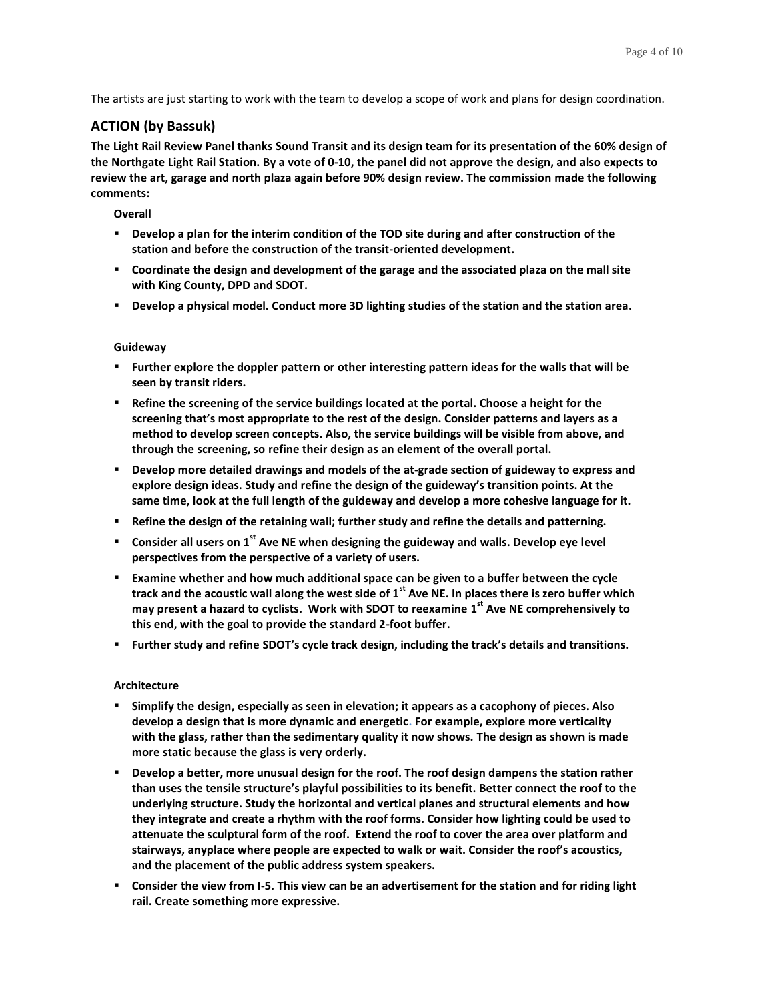The artists are just starting to work with the team to develop a scope of work and plans for design coordination.

## **ACTION (by Bassuk)**

**The Light Rail Review Panel thanks Sound Transit and its design team for its presentation of the 60% design of the Northgate Light Rail Station. By a vote of 0-10, the panel did not approve the design, and also expects to review the art, garage and north plaza again before 90% design review. The commission made the following comments:**

## **Overall**

- **Develop a plan for the interim condition of the TOD site during and after construction of the station and before the construction of the transit-oriented development.**
- **Coordinate the design and development of the garage and the associated plaza on the mall site with King County, DPD and SDOT.**
- **Develop a physical model. Conduct more 3D lighting studies of the station and the station area.**

## **Guideway**

- **Further explore the doppler pattern or other interesting pattern ideas for the walls that will be seen by transit riders.**
- **Refine the screening of the service buildings located at the portal. Choose a height for the screening that's most appropriate to the rest of the design. Consider patterns and layers as a method to develop screen concepts. Also, the service buildings will be visible from above, and through the screening, so refine their design as an element of the overall portal.**
- **Develop more detailed drawings and models of the at-grade section of guideway to express and explore design ideas. Study and refine the design of the guideway's transition points. At the same time, look at the full length of the guideway and develop a more cohesive language for it.**
- **Refine the design of the retaining wall; further study and refine the details and patterning.**
- **Consider all users on 1st Ave NE when designing the guideway and walls. Develop eye level perspectives from the perspective of a variety of users.**
- **Examine whether and how much additional space can be given to a buffer between the cycle track and the acoustic wall along the west side of 1st Ave NE. In places there is zero buffer which may present a hazard to cyclists. Work with SDOT to reexamine 1 st Ave NE comprehensively to this end, with the goal to provide the standard 2-foot buffer.**
- **Further study and refine SDOT's cycle track design, including the track's details and transitions.**

## **Architecture**

- **Simplify the design, especially as seen in elevation; it appears as a cacophony of pieces. Also develop a design that is more dynamic and energetic. For example, explore more verticality with the glass, rather than the sedimentary quality it now shows. The design as shown is made more static because the glass is very orderly.**
- **Develop a better, more unusual design for the roof. The roof design dampens the station rather than uses the tensile structure's playful possibilities to its benefit. Better connect the roof to the underlying structure. Study the horizontal and vertical planes and structural elements and how they integrate and create a rhythm with the roof forms. Consider how lighting could be used to attenuate the sculptural form of the roof. Extend the roof to cover the area over platform and stairways, anyplace where people are expected to walk or wait. Consider the roof's acoustics, and the placement of the public address system speakers.**
- **Consider the view from I-5. This view can be an advertisement for the station and for riding light rail. Create something more expressive.**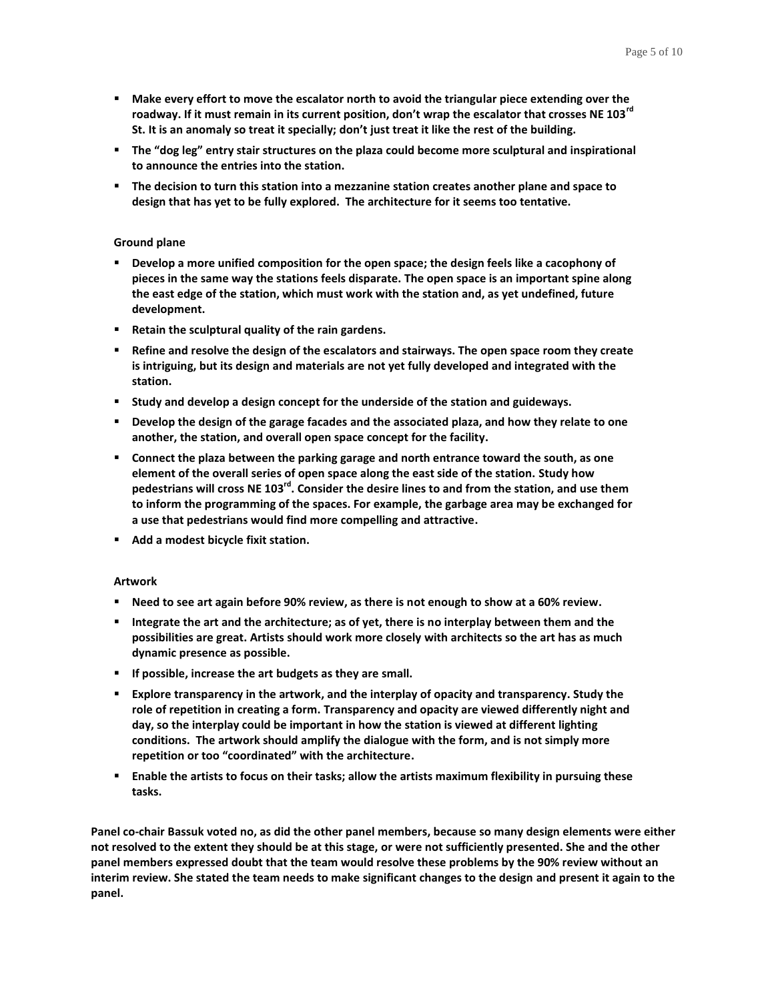- **Make every effort to move the escalator north to avoid the triangular piece extending over the roadway. If it must remain in its current position, don't wrap the escalator that crosses NE 103rd St. It is an anomaly so treat it specially; don't just treat it like the rest of the building.**
- **The "dog leg" entry stair structures on the plaza could become more sculptural and inspirational to announce the entries into the station.**
- **The decision to turn this station into a mezzanine station creates another plane and space to design that has yet to be fully explored. The architecture for it seems too tentative.**

## **Ground plane**

- **Develop a more unified composition for the open space; the design feels like a cacophony of pieces in the same way the stations feels disparate. The open space is an important spine along the east edge of the station, which must work with the station and, as yet undefined, future development.**
- **Retain the sculptural quality of the rain gardens.**
- **Refine and resolve the design of the escalators and stairways. The open space room they create is intriguing, but its design and materials are not yet fully developed and integrated with the station.**
- **Study and develop a design concept for the underside of the station and guideways.**
- **Develop the design of the garage facades and the associated plaza, and how they relate to one another, the station, and overall open space concept for the facility.**
- **Connect the plaza between the parking garage and north entrance toward the south, as one element of the overall series of open space along the east side of the station. Study how pedestrians will cross NE 103rd. Consider the desire lines to and from the station, and use them to inform the programming of the spaces. For example, the garbage area may be exchanged for a use that pedestrians would find more compelling and attractive.**
- **Add a modest bicycle fixit station.**

## **Artwork**

- **Need to see art again before 90% review, as there is not enough to show at a 60% review.**
- **Integrate the art and the architecture; as of yet, there is no interplay between them and the possibilities are great. Artists should work more closely with architects so the art has as much dynamic presence as possible.**
- **If possible, increase the art budgets as they are small.**
- **Explore transparency in the artwork, and the interplay of opacity and transparency. Study the role of repetition in creating a form. Transparency and opacity are viewed differently night and day, so the interplay could be important in how the station is viewed at different lighting conditions. The artwork should amplify the dialogue with the form, and is not simply more repetition or too "coordinated" with the architecture.**
- **Enable the artists to focus on their tasks; allow the artists maximum flexibility in pursuing these tasks.**

**Panel co-chair Bassuk voted no, as did the other panel members, because so many design elements were either not resolved to the extent they should be at this stage, or were not sufficiently presented. She and the other panel members expressed doubt that the team would resolve these problems by the 90% review without an interim review. She stated the team needs to make significant changes to the design and present it again to the panel.**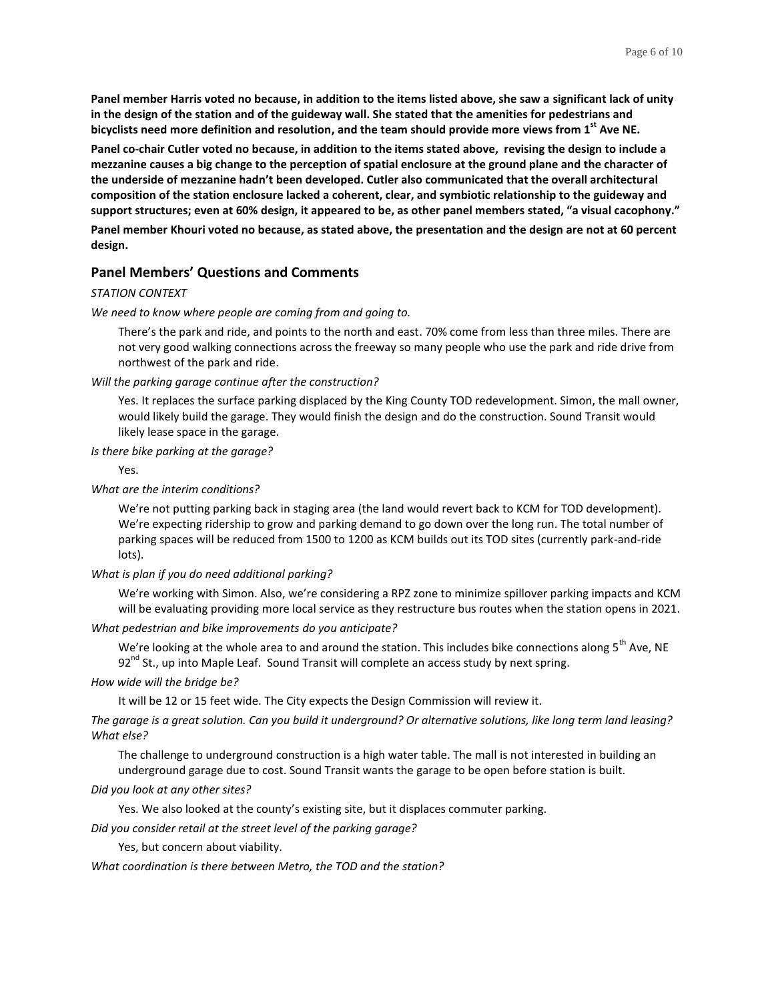**Panel member Harris voted no because, in addition to the items listed above, she saw a significant lack of unity in the design of the station and of the guideway wall. She stated that the amenities for pedestrians and bicyclists need more definition and resolution, and the team should provide more views from 1st Ave NE.**

**Panel co-chair Cutler voted no because, in addition to the items stated above, revising the design to include a mezzanine causes a big change to the perception of spatial enclosure at the ground plane and the character of the underside of mezzanine hadn't been developed. Cutler also communicated that the overall architectural composition of the station enclosure lacked a coherent, clear, and symbiotic relationship to the guideway and support structures; even at 60% design, it appeared to be, as other panel members stated, "a visual cacophony." Panel member Khouri voted no because, as stated above, the presentation and the design are not at 60 percent design.**

## **Panel Members' Questions and Comments**

#### *STATION CONTEXT*

#### *We need to know where people are coming from and going to.*

There's the park and ride, and points to the north and east. 70% come from less than three miles. There are not very good walking connections across the freeway so many people who use the park and ride drive from northwest of the park and ride.

#### *Will the parking garage continue after the construction?*

Yes. It replaces the surface parking displaced by the King County TOD redevelopment. Simon, the mall owner, would likely build the garage. They would finish the design and do the construction. Sound Transit would likely lease space in the garage.

#### *Is there bike parking at the garage?*

Yes.

#### *What are the interim conditions?*

We're not putting parking back in staging area (the land would revert back to KCM for TOD development). We're expecting ridership to grow and parking demand to go down over the long run. The total number of parking spaces will be reduced from 1500 to 1200 as KCM builds out its TOD sites (currently park-and-ride lots).

#### *What is plan if you do need additional parking?*

We're working with Simon. Also, we're considering a RPZ zone to minimize spillover parking impacts and KCM will be evaluating providing more local service as they restructure bus routes when the station opens in 2021.

#### *What pedestrian and bike improvements do you anticipate?*

We're looking at the whole area to and around the station. This includes bike connections along 5<sup>th</sup> Ave, NE  $92<sup>nd</sup>$  St., up into Maple Leaf. Sound Transit will complete an access study by next spring.

## *How wide will the bridge be?*

It will be 12 or 15 feet wide. The City expects the Design Commission will review it.

*The garage is a great solution. Can you build it underground? Or alternative solutions, like long term land leasing? What else?* 

The challenge to underground construction is a high water table. The mall is not interested in building an underground garage due to cost. Sound Transit wants the garage to be open before station is built.

#### *Did you look at any other sites?*

Yes. We also looked at the county's existing site, but it displaces commuter parking.

*Did you consider retail at the street level of the parking garage?*

Yes, but concern about viability.

#### *What coordination is there between Metro, the TOD and the station?*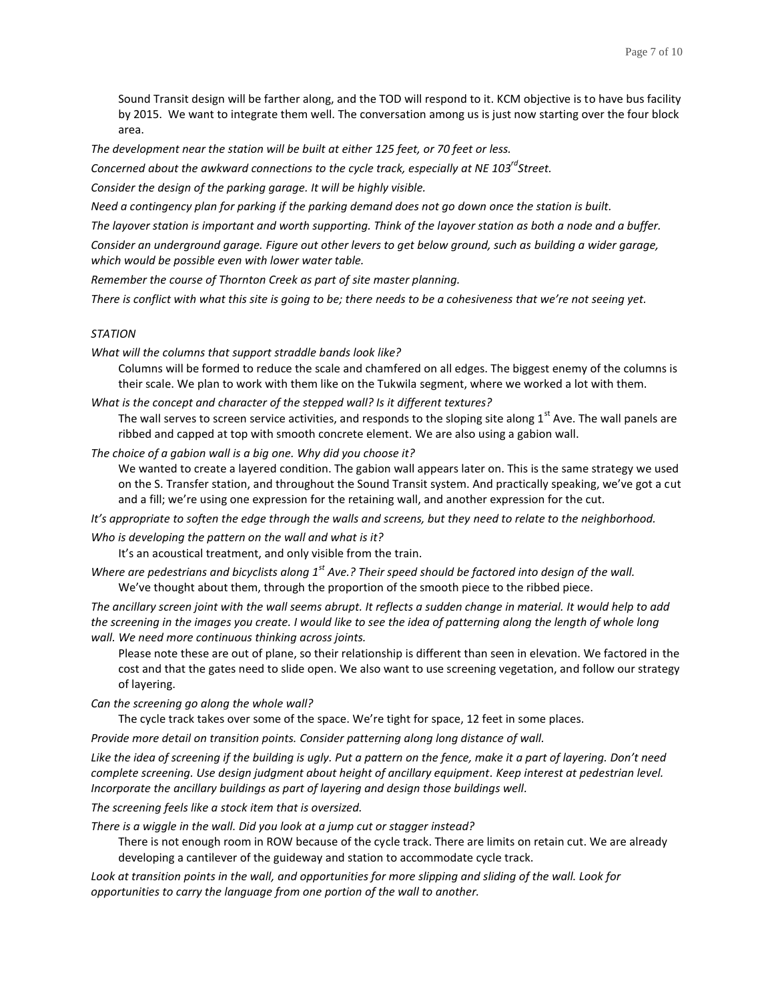Sound Transit design will be farther along, and the TOD will respond to it. KCM objective is to have bus facility by 2015. We want to integrate them well. The conversation among us is just now starting over the four block area.

*The development near the station will be built at either 125 feet, or 70 feet or less.*

*Concerned about the awkward connections to the cycle track, especially at NE 103rdStreet.*

*Consider the design of the parking garage. It will be highly visible.*

*Need a contingency plan for parking if the parking demand does not go down once the station is built.* 

*The layover station is important and worth supporting. Think of the layover station as both a node and a buffer.* 

*Consider an underground garage. Figure out other levers to get below ground, such as building a wider garage, which would be possible even with lower water table.*

*Remember the course of Thornton Creek as part of site master planning.*

*There is conflict with what this site is going to be; there needs to be a cohesiveness that we're not seeing yet.*

## *STATION*

*What will the columns that support straddle bands look like?*

Columns will be formed to reduce the scale and chamfered on all edges. The biggest enemy of the columns is their scale. We plan to work with them like on the Tukwila segment, where we worked a lot with them.

*What is the concept and character of the stepped wall? Is it different textures?*

The wall serves to screen service activities, and responds to the sloping site along  $1<sup>st</sup>$  Ave. The wall panels are ribbed and capped at top with smooth concrete element. We are also using a gabion wall.

*The choice of a gabion wall is a big one. Why did you choose it?*

We wanted to create a layered condition. The gabion wall appears later on. This is the same strategy we used on the S. Transfer station, and throughout the Sound Transit system. And practically speaking, we've got a cut and a fill; we're using one expression for the retaining wall, and another expression for the cut.

*It's appropriate to soften the edge through the walls and screens, but they need to relate to the neighborhood.* 

*Who is developing the pattern on the wall and what is it?*

It's an acoustical treatment, and only visible from the train.

*Where are pedestrians and bicyclists along 1st Ave.? Their speed should be factored into design of the wall.* We've thought about them, through the proportion of the smooth piece to the ribbed piece.

*The ancillary screen joint with the wall seems abrupt. It reflects a sudden change in material. It would help to add the screening in the images you create. I would like to see the idea of patterning along the length of whole long wall. We need more continuous thinking across joints.*

Please note these are out of plane, so their relationship is different than seen in elevation. We factored in the cost and that the gates need to slide open. We also want to use screening vegetation, and follow our strategy of layering.

*Can the screening go along the whole wall?*

The cycle track takes over some of the space. We're tight for space, 12 feet in some places.

*Provide more detail on transition points. Consider patterning along long distance of wall.*

Like the idea of screening if the building is ugly. Put a pattern on the fence, make it a part of layering. Don't need *complete screening. Use design judgment about height of ancillary equipment. Keep interest at pedestrian level. Incorporate the ancillary buildings as part of layering and design those buildings well.*

*The screening feels like a stock item that is oversized.*

*There is a wiggle in the wall. Did you look at a jump cut or stagger instead?* 

There is not enough room in ROW because of the cycle track. There are limits on retain cut. We are already developing a cantilever of the guideway and station to accommodate cycle track.

*Look at transition points in the wall, and opportunities for more slipping and sliding of the wall. Look for opportunities to carry the language from one portion of the wall to another.*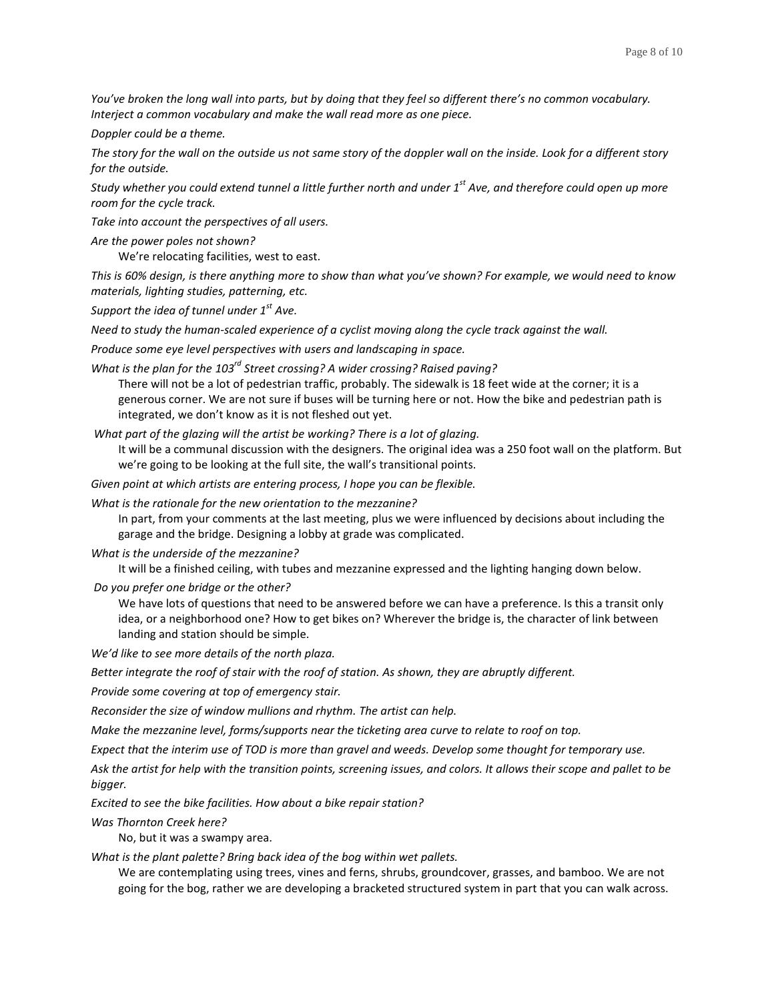*You've broken the long wall into parts, but by doing that they feel so different there's no common vocabulary. Interject a common vocabulary and make the wall read more as one piece.*

*Doppler could be a theme.*

*The story for the wall on the outside us not same story of the doppler wall on the inside. Look for a different story for the outside.*

*Study whether you could extend tunnel a little further north and under 1st Ave, and therefore could open up more room for the cycle track.*

*Take into account the perspectives of all users.*

*Are the power poles not shown?*

We're relocating facilities, west to east.

*This is 60% design, is there anything more to show than what you've shown? For example, we would need to know materials, lighting studies, patterning, etc.* 

*Support the idea of tunnel under 1st Ave.*

*Need to study the human-scaled experience of a cyclist moving along the cycle track against the wall.*

*Produce some eye level perspectives with users and landscaping in space.*

*What is the plan for the 103rd Street crossing? A wider crossing? Raised paving?*

There will not be a lot of pedestrian traffic, probably. The sidewalk is 18 feet wide at the corner; it is a generous corner. We are not sure if buses will be turning here or not. How the bike and pedestrian path is integrated, we don't know as it is not fleshed out yet.

*What part of the glazing will the artist be working? There is a lot of glazing.*

It will be a communal discussion with the designers. The original idea was a 250 foot wall on the platform. But we're going to be looking at the full site, the wall's transitional points.

*Given point at which artists are entering process, I hope you can be flexible.*

*What is the rationale for the new orientation to the mezzanine?*

In part, from your comments at the last meeting, plus we were influenced by decisions about including the garage and the bridge. Designing a lobby at grade was complicated.

*What is the underside of the mezzanine?*

It will be a finished ceiling, with tubes and mezzanine expressed and the lighting hanging down below.

*Do you prefer one bridge or the other?*

We have lots of questions that need to be answered before we can have a preference. Is this a transit only idea, or a neighborhood one? How to get bikes on? Wherever the bridge is, the character of link between landing and station should be simple.

*We'd like to see more details of the north plaza.*

*Better integrate the roof of stair with the roof of station. As shown, they are abruptly different.*

*Provide some covering at top of emergency stair.*

*Reconsider the size of window mullions and rhythm. The artist can help.*

*Make the mezzanine level, forms/supports near the ticketing area curve to relate to roof on top.*

*Expect that the interim use of TOD is more than gravel and weeds. Develop some thought for temporary use.*

*Ask the artist for help with the transition points, screening issues, and colors. It allows their scope and pallet to be bigger.* 

*Excited to see the bike facilities. How about a bike repair station?*

*Was Thornton Creek here?*

No, but it was a swampy area.

*What is the plant palette? Bring back idea of the bog within wet pallets.*

We are contemplating using trees, vines and ferns, shrubs, groundcover, grasses, and bamboo. We are not going for the bog, rather we are developing a bracketed structured system in part that you can walk across.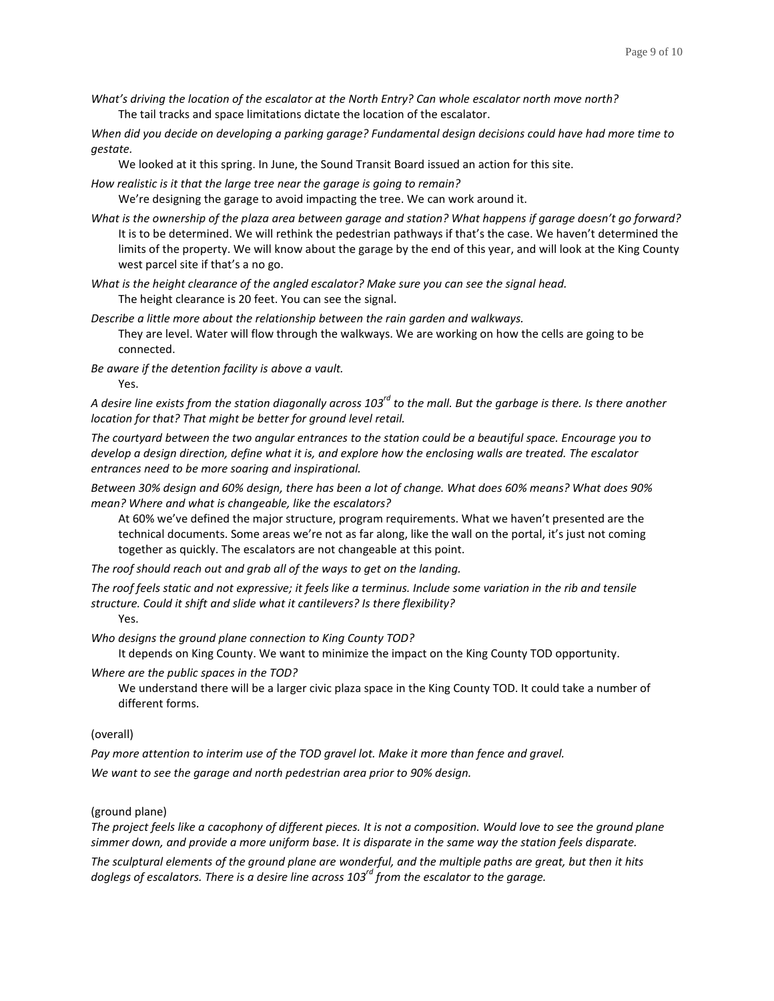*What's driving the location of the escalator at the North Entry? Can whole escalator north move north?* The tail tracks and space limitations dictate the location of the escalator.

*When did you decide on developing a parking garage? Fundamental design decisions could have had more time to gestate.*

We looked at it this spring. In June, the Sound Transit Board issued an action for this site.

*How realistic is it that the large tree near the garage is going to remain?*

We're designing the garage to avoid impacting the tree. We can work around it.

- *What is the ownership of the plaza area between garage and station? What happens if garage doesn't go forward?* It is to be determined. We will rethink the pedestrian pathways if that's the case. We haven't determined the limits of the property. We will know about the garage by the end of this year, and will look at the King County west parcel site if that's a no go.
- *What is the height clearance of the angled escalator? Make sure you can see the signal head.* The height clearance is 20 feet. You can see the signal.

*Describe a little more about the relationship between the rain garden and walkways.*  They are level. Water will flow through the walkways. We are working on how the cells are going to be connected.

*Be aware if the detention facility is above a vault.* Yes.

*A desire line exists from the station diagonally across 103rd to the mall. But the garbage is there. Is there another location for that? That might be better for ground level retail.*

*The courtyard between the two angular entrances to the station could be a beautiful space. Encourage you to develop a design direction, define what it is, and explore how the enclosing walls are treated. The escalator entrances need to be more soaring and inspirational.*

*Between 30% design and 60% design, there has been a lot of change. What does 60% means? What does 90% mean? Where and what is changeable, like the escalators?*

At 60% we've defined the major structure, program requirements. What we haven't presented are the technical documents. Some areas we're not as far along, like the wall on the portal, it's just not coming together as quickly. The escalators are not changeable at this point.

*The roof should reach out and grab all of the ways to get on the landing.*

*The roof feels static and not expressive; it feels like a terminus. Include some variation in the rib and tensile structure. Could it shift and slide what it cantilevers? Is there flexibility?*

Yes.

*Who designs the ground plane connection to King County TOD?*

It depends on King County. We want to minimize the impact on the King County TOD opportunity.

*Where are the public spaces in the TOD?*

We understand there will be a larger civic plaza space in the King County TOD. It could take a number of different forms.

#### (overall)

*Pay more attention to interim use of the TOD gravel lot. Make it more than fence and gravel. We want to see the garage and north pedestrian area prior to 90% design.*

## (ground plane)

*The project feels like a cacophony of different pieces. It is not a composition. Would love to see the ground plane simmer down, and provide a more uniform base. It is disparate in the same way the station feels disparate.*

*The sculptural elements of the ground plane are wonderful, and the multiple paths are great, but then it hits doglegs of escalators. There is a desire line across 103rd from the escalator to the garage.*